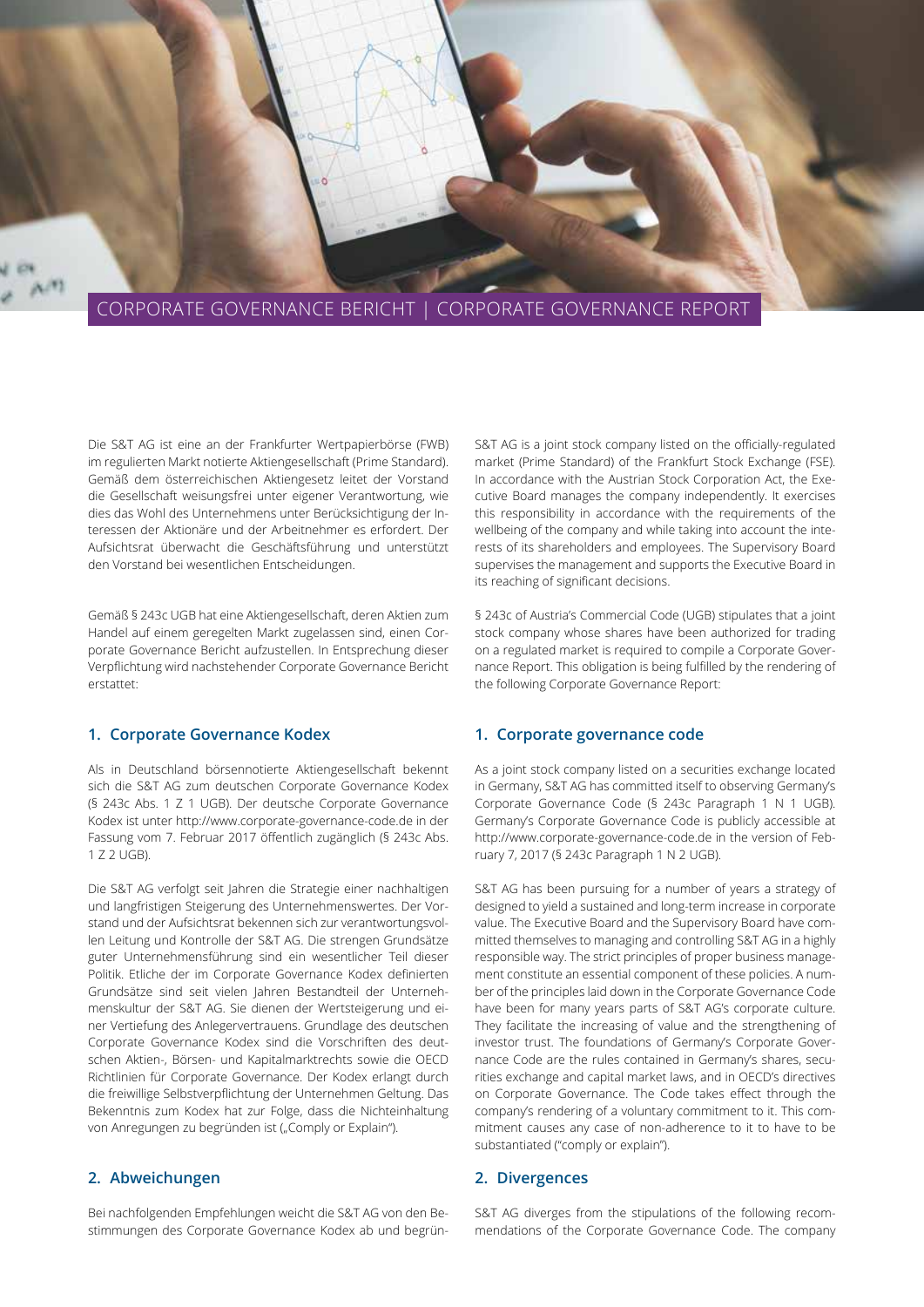

Die S&T AG ist eine an der Frankfurter Wertpapierbörse (FWB) im regulierten Markt notierte Aktiengesellschaft (Prime Standard). Gemäß dem österreichischen Aktiengesetz leitet der Vorstand die Gesellschaft weisungsfrei unter eigener Verantwortung, wie dies das Wohl des Unternehmens unter Berücksichtigung der Interessen der Aktionäre und der Arbeitnehmer es erfordert. Der Aufsichtsrat überwacht die Geschäftsführung und unterstützt den Vorstand bei wesentlichen Entscheidungen.

Gemäß § 243c UGB hat eine Aktiengesellschaft, deren Aktien zum Handel auf einem geregelten Markt zugelassen sind, einen Corporate Governance Bericht aufzustellen. In Entsprechung dieser Verpflichtung wird nachstehender Corporate Governance Bericht erstattet:

# **1. Corporate Governance Kodex**

Als in Deutschland börsennotierte Aktiengesellschaft bekennt sich die S&T AG zum deutschen Corporate Governance Kodex (§ 243c Abs. 1 Z 1 UGB). Der deutsche Corporate Governance Kodex ist unter http://www.corporate-governance-code.de in der Fassung vom 7. Februar 2017 öffentlich zugänglich (§ 243c Abs. 1 Z 2 UGB).

Die S&T AG verfolgt seit Jahren die Strategie einer nachhaltigen und langfristigen Steigerung des Unternehmenswertes. Der Vorstand und der Aufsichtsrat bekennen sich zur verantwortungsvollen Leitung und Kontrolle der S&T AG. Die strengen Grundsätze guter Unternehmensführung sind ein wesentlicher Teil dieser Politik. Etliche der im Corporate Governance Kodex definierten Grundsätze sind seit vielen Jahren Bestandteil der Unternehmenskultur der S&T AG. Sie dienen der Wertsteigerung und einer Vertiefung des Anlegervertrauens. Grundlage des deutschen Corporate Governance Kodex sind die Vorschriften des deutschen Aktien-, Börsen- und Kapitalmarktrechts sowie die OECD Richtlinien für Corporate Governance. Der Kodex erlangt durch die freiwillige Selbstverpflichtung der Unternehmen Geltung. Das Bekenntnis zum Kodex hat zur Folge, dass die Nichteinhaltung von Anregungen zu begründen ist ("Comply or Explain").

# **2. Abweichungen**

Bei nachfolgenden Empfehlungen weicht die S&T AG von den Bestimmungen des Corporate Governance Kodex ab und begrünS&T AG is a joint stock company listed on the officially-regulated market (Prime Standard) of the Frankfurt Stock Exchange (FSE). In accordance with the Austrian Stock Corporation Act, the Executive Board manages the company independently. It exercises this responsibility in accordance with the requirements of the wellbeing of the company and while taking into account the interests of its shareholders and employees. The Supervisory Board supervises the management and supports the Executive Board in its reaching of significant decisions.

§ 243c of Austria's Commercial Code (UGB) stipulates that a joint stock company whose shares have been authorized for trading on a regulated market is required to compile a Corporate Governance Report. This obligation is being fulfilled by the rendering of the following Corporate Governance Report:

# **1. Corporate governance code**

As a joint stock company listed on a securities exchange located in Germany, S&T AG has committed itself to observing Germany's Corporate Governance Code (§ 243c Paragraph 1 N 1 UGB). Germany's Corporate Governance Code is publicly accessible at http://www.corporate-governance-code.de in the version of February 7, 2017 (§ 243c Paragraph 1 N 2 UGB).

S&T AG has been pursuing for a number of years a strategy of designed to yield a sustained and long-term increase in corporate value. The Executive Board and the Supervisory Board have committed themselves to managing and controlling S&T AG in a highly responsible way. The strict principles of proper business management constitute an essential component of these policies. A number of the principles laid down in the Corporate Governance Code have been for many years parts of S&T AG's corporate culture. They facilitate the increasing of value and the strengthening of investor trust. The foundations of Germany's Corporate Governance Code are the rules contained in Germany's shares, securities exchange and capital market laws, and in OECD's directives on Corporate Governance. The Code takes effect through the company's rendering of a voluntary commitment to it. This commitment causes any case of non-adherence to it to have to be substantiated ("comply or explain").

# **2. Divergences**

S&T AG diverges from the stipulations of the following recommendations of the Corporate Governance Code. The company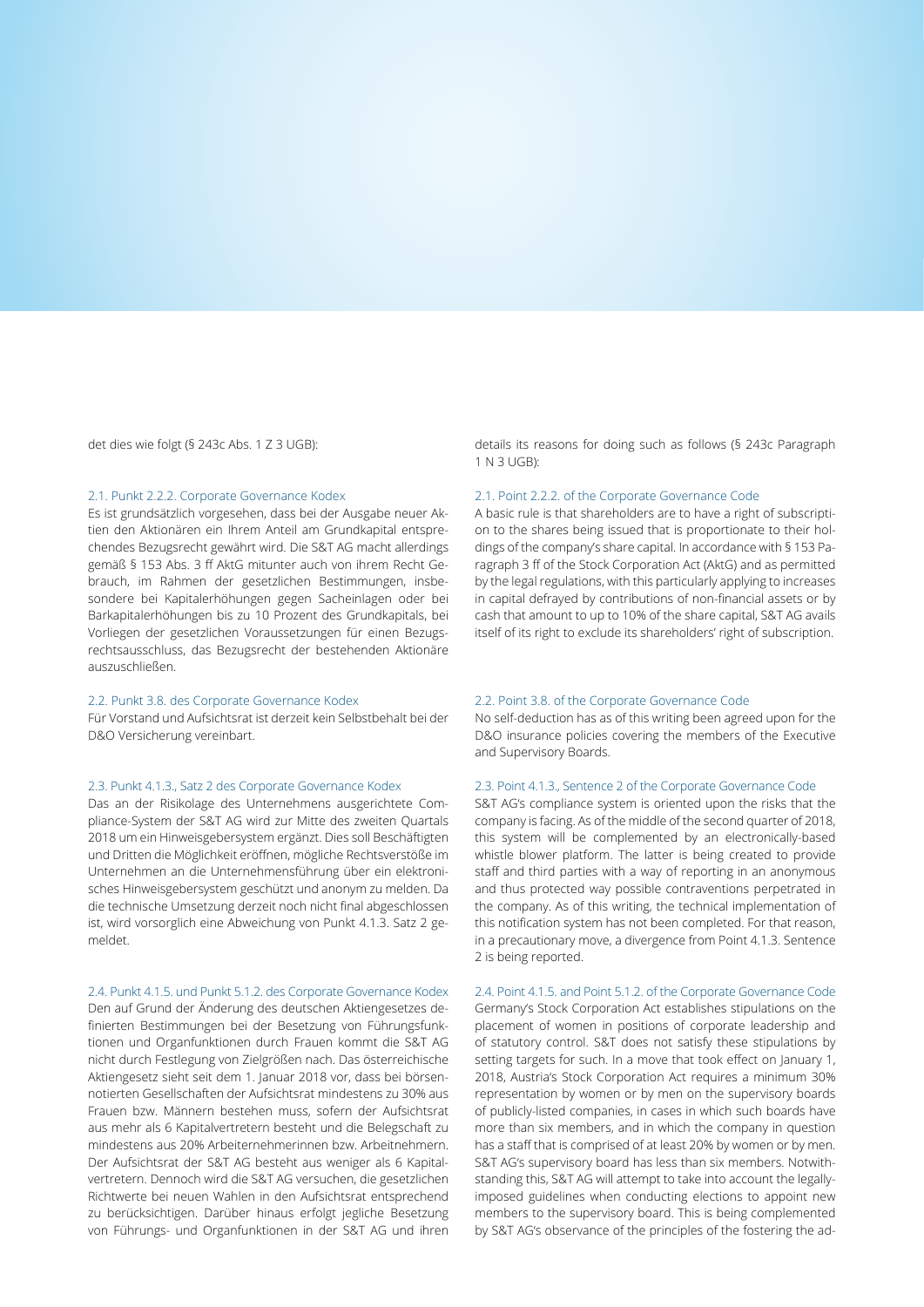det dies wie folgt (§ 243c Abs. 1 Z 3 UGB):

#### 2.1. Punkt 2.2.2. Corporate Governance Kodex

Es ist grundsätzlich vorgesehen, dass bei der Ausgabe neuer Aktien den Aktionären ein Ihrem Anteil am Grundkapital entsprechendes Bezugsrecht gewährt wird. Die S&T AG macht allerdings gemäß § 153 Abs. 3 ff AktG mitunter auch von ihrem Recht Gebrauch, im Rahmen der gesetzlichen Bestimmungen, insbesondere bei Kapitalerhöhungen gegen Sacheinlagen oder bei Barkapitalerhöhungen bis zu 10 Prozent des Grundkapitals, bei Vorliegen der gesetzlichen Voraussetzungen für einen Bezugsrechtsausschluss, das Bezugsrecht der bestehenden Aktionäre auszuschließen.

#### 2.2. Punkt 3.8. des Corporate Governance Kodex

Für Vorstand und Aufsichtsrat ist derzeit kein Selbstbehalt bei der D&O Versicherung vereinbart.

#### 2.3. Punkt 4.1.3., Satz 2 des Corporate Governance Kodex

Das an der Risikolage des Unternehmens ausgerichtete Compliance-System der S&T AG wird zur Mitte des zweiten Quartals 2018 um ein Hinweisgebersystem ergänzt. Dies soll Beschäftigten und Dritten die Möglichkeit eröffnen, mögliche Rechtsverstöße im Unternehmen an die Unternehmensführung über ein elektronisches Hinweisgebersystem geschützt und anonym zu melden. Da die technische Umsetzung derzeit noch nicht final abgeschlossen ist, wird vorsorglich eine Abweichung von Punkt 4.1.3. Satz 2 gemeldet.

## 2.4. Punkt 4.1.5. und Punkt 5.1.2. des Corporate Governance Kodex

Den auf Grund der Änderung des deutschen Aktiengesetzes definierten Bestimmungen bei der Besetzung von Führungsfunktionen und Organfunktionen durch Frauen kommt die S&T AG nicht durch Festlegung von Zielgrößen nach. Das österreichische Aktiengesetz sieht seit dem 1. Januar 2018 vor, dass bei börsennotierten Gesellschaften der Aufsichtsrat mindestens zu 30% aus Frauen bzw. Männern bestehen muss, sofern der Aufsichtsrat aus mehr als 6 Kapitalvertretern besteht und die Belegschaft zu mindestens aus 20% Arbeiternehmerinnen bzw. Arbeitnehmern. Der Aufsichtsrat der S&T AG besteht aus weniger als 6 Kapitalvertretern. Dennoch wird die S&T AG versuchen, die gesetzlichen Richtwerte bei neuen Wahlen in den Aufsichtsrat entsprechend zu berücksichtigen. Darüber hinaus erfolgt jegliche Besetzung von Führungs- und Organfunktionen in der S&T AG und ihren details its reasons for doing such as follows (§ 243c Paragraph 1 N 3 UGB):

#### 2.1. Point 2.2.2. of the Corporate Governance Code

A basic rule is that shareholders are to have a right of subscription to the shares being issued that is proportionate to their holdings of the company's share capital. In accordance with § 153 Paragraph 3 ff of the Stock Corporation Act (AktG) and as permitted by the legal regulations, with this particularly applying to increases in capital defrayed by contributions of non-financial assets or by cash that amount to up to 10% of the share capital, S&T AG avails itself of its right to exclude its shareholders' right of subscription.

#### 2.2. Point 3.8. of the Corporate Governance Code

No self-deduction has as of this writing been agreed upon for the D&O insurance policies covering the members of the Executive and Supervisory Boards.

#### 2.3. Point 4.1.3., Sentence 2 of the Corporate Governance Code

S&T AG's compliance system is oriented upon the risks that the company is facing. As of the middle of the second quarter of 2018, this system will be complemented by an electronically-based whistle blower platform. The latter is being created to provide staff and third parties with a way of reporting in an anonymous and thus protected way possible contraventions perpetrated in the company. As of this writing, the technical implementation of this notification system has not been completed. For that reason, in a precautionary move, a divergence from Point 4.1.3. Sentence 2 is being reported.

## 2.4. Point 4.1.5. and Point 5.1.2. of the Corporate Governance Code Germany's Stock Corporation Act establishes stipulations on the placement of women in positions of corporate leadership and of statutory control. S&T does not satisfy these stipulations by setting targets for such. In a move that took effect on January 1, 2018, Austria's Stock Corporation Act requires a minimum 30% representation by women or by men on the supervisory boards of publicly-listed companies, in cases in which such boards have more than six members, and in which the company in question has a staff that is comprised of at least 20% by women or by men. S&T AG's supervisory board has less than six members. Notwithstanding this, S&T AG will attempt to take into account the legallyimposed guidelines when conducting elections to appoint new members to the supervisory board. This is being complemented by S&T AG's observance of the principles of the fostering the ad-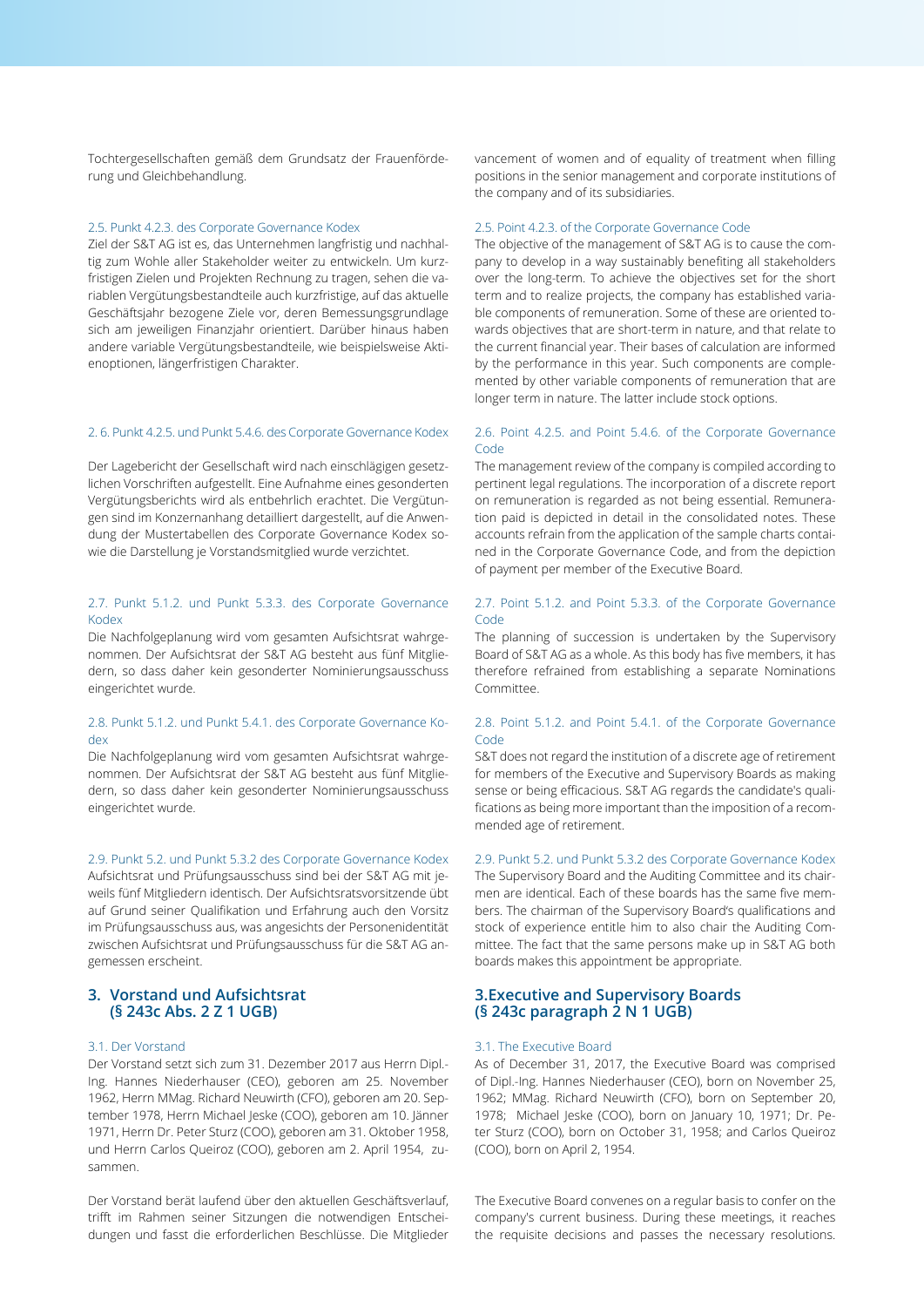Tochtergesellschaften gemäß dem Grundsatz der Frauenförderung und Gleichbehandlung.

### 2.5. Punkt 4.2.3. des Corporate Governance Kodex

Ziel der S&T AG ist es, das Unternehmen langfristig und nachhaltig zum Wohle aller Stakeholder weiter zu entwickeln. Um kurzfristigen Zielen und Projekten Rechnung zu tragen, sehen die variablen Vergütungsbestandteile auch kurzfristige, auf das aktuelle Geschäftsjahr bezogene Ziele vor, deren Bemessungsgrundlage sich am jeweiligen Finanzjahr orientiert. Darüber hinaus haben andere variable Vergütungsbestandteile, wie beispielsweise Aktienoptionen, längerfristigen Charakter.

### 2. 6. Punkt 4.2.5. und Punkt 5.4.6. des Corporate Governance Kodex

Der Lagebericht der Gesellschaft wird nach einschlägigen gesetzlichen Vorschriften aufgestellt. Eine Aufnahme eines gesonderten Vergütungsberichts wird als entbehrlich erachtet. Die Vergütungen sind im Konzernanhang detailliert dargestellt, auf die Anwendung der Mustertabellen des Corporate Governance Kodex sowie die Darstellung je Vorstandsmitglied wurde verzichtet.

### 2.7. Punkt 5.1.2. und Punkt 5.3.3. des Corporate Governance Kodex

Die Nachfolgeplanung wird vom gesamten Aufsichtsrat wahrgenommen. Der Aufsichtsrat der S&T AG besteht aus fünf Mitgliedern, so dass daher kein gesonderter Nominierungsausschuss eingerichtet wurde.

### 2.8. Punkt 5.1.2. und Punkt 5.4.1. des Corporate Governance Kodex

Die Nachfolgeplanung wird vom gesamten Aufsichtsrat wahrgenommen. Der Aufsichtsrat der S&T AG besteht aus fünf Mitgliedern, so dass daher kein gesonderter Nominierungsausschuss eingerichtet wurde.

#### 2.9. Punkt 5.2. und Punkt 5.3.2 des Corporate Governance Kodex

Aufsichtsrat und Prüfungsausschuss sind bei der S&T AG mit jeweils fünf Mitgliedern identisch. Der Aufsichtsratsvorsitzende übt auf Grund seiner Qualifikation und Erfahrung auch den Vorsitz im Prüfungsausschuss aus, was angesichts der Personenidentität zwischen Aufsichtsrat und Prüfungsausschuss für die S&T AG angemessen erscheint.

## **3. Vorstand und Aufsichtsrat (§ 243c Abs. 2 Z 1 UGB)**

## 3.1. Der Vorstand

Der Vorstand setzt sich zum 31. Dezember 2017 aus Herrn Dipl.- Ing. Hannes Niederhauser (CEO), geboren am 25. November 1962, Herrn MMag. Richard Neuwirth (CFO), geboren am 20. September 1978, Herrn Michael Jeske (COO), geboren am 10. Jänner 1971, Herrn Dr. Peter Sturz (COO), geboren am 31. Oktober 1958, und Herrn Carlos Queiroz (COO), geboren am 2. April 1954, zusammen.

Der Vorstand berät laufend über den aktuellen Geschäftsverlauf, trifft im Rahmen seiner Sitzungen die notwendigen Entscheidungen und fasst die erforderlichen Beschlüsse. Die Mitglieder

vancement of women and of equality of treatment when filling positions in the senior management and corporate institutions of the company and of its subsidiaries.

### 2.5. Point 4.2.3. of the Corporate Governance Code

The objective of the management of S&T AG is to cause the company to develop in a way sustainably benefiting all stakeholders over the long-term. To achieve the objectives set for the short term and to realize projects, the company has established variable components of remuneration. Some of these are oriented towards objectives that are short-term in nature, and that relate to the current financial year. Their bases of calculation are informed by the performance in this year. Such components are complemented by other variable components of remuneration that are longer term in nature. The latter include stock options.

### 2.6. Point 4.2.5. and Point 5.4.6. of the Corporate Governance Code

The management review of the company is compiled according to pertinent legal regulations. The incorporation of a discrete report on remuneration is regarded as not being essential. Remuneration paid is depicted in detail in the consolidated notes. These accounts refrain from the application of the sample charts contained in the Corporate Governance Code, and from the depiction of payment per member of the Executive Board.

### 2.7. Point 5.1.2. and Point 5.3.3. of the Corporate Governance Code

The planning of succession is undertaken by the Supervisory Board of S&T AG as a whole. As this body has five members, it has therefore refrained from establishing a separate Nominations Committee.

### 2.8. Point 5.1.2. and Point 5.4.1. of the Corporate Governance Code

S&T does not regard the institution of a discrete age of retirement for members of the Executive and Supervisory Boards as making sense or being efficacious. S&T AG regards the candidate's qualifications as being more important than the imposition of a recommended age of retirement.

### 2.9. Punkt 5.2. und Punkt 5.3.2 des Corporate Governance Kodex

The Supervisory Board and the Auditing Committee and its chairmen are identical. Each of these boards has the same five members. The chairman of the Supervisory Board's qualifications and stock of experience entitle him to also chair the Auditing Committee. The fact that the same persons make up in S&T AG both boards makes this appointment be appropriate.

# **3.Executive and Supervisory Boards (§ 243c paragraph 2 N 1 UGB)**

### 3.1. The Executive Board

As of December 31, 2017, the Executive Board was comprised of Dipl.-Ing. Hannes Niederhauser (CEO), born on November 25, 1962; MMag. Richard Neuwirth (CFO), born on September 20, 1978; Michael Jeske (COO), born on January 10, 1971; Dr. Peter Sturz (COO), born on October 31, 1958; and Carlos Queiroz (COO), born on April 2, 1954.

The Executive Board convenes on a regular basis to confer on the company's current business. During these meetings, it reaches the requisite decisions and passes the necessary resolutions.